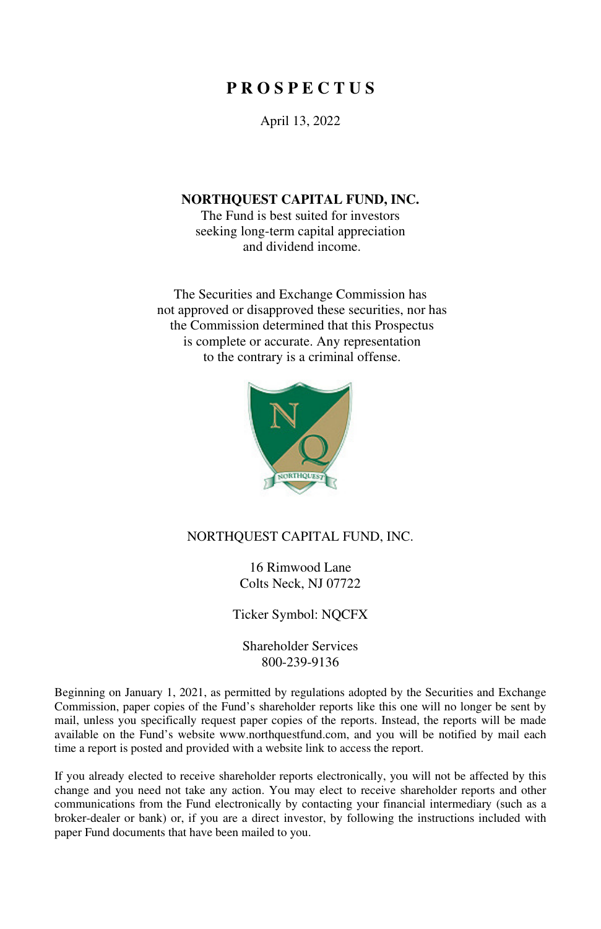# **P R O S P E C T U S**

April 13, 2022

#### **NORTHQUEST CAPITAL FUND, INC.**

The Fund is best suited for investors seeking long-term capital appreciation and dividend income.

The Securities and Exchange Commission has not approved or disapproved these securities, nor has the Commission determined that this Prospectus is complete or accurate. Any representation to the contrary is a criminal offense.



### NORTHQUEST CAPITAL FUND, INC.

16 Rimwood Lane Colts Neck, NJ 07722

Ticker Symbol: NQCFX

Shareholder Services 800-239-9136

Beginning on January 1, 2021, as permitted by regulations adopted by the Securities and Exchange Commission, paper copies of the Fund's shareholder reports like this one will no longer be sent by mail, unless you specifically request paper copies of the reports. Instead, the reports will be made available on the Fund's website www.northquestfund.com, and you will be notified by mail each time a report is posted and provided with a website link to access the report.

If you already elected to receive shareholder reports electronically, you will not be affected by this change and you need not take any action. You may elect to receive shareholder reports and other communications from the Fund electronically by contacting your financial intermediary (such as a broker-dealer or bank) or, if you are a direct investor, by following the instructions included with paper Fund documents that have been mailed to you.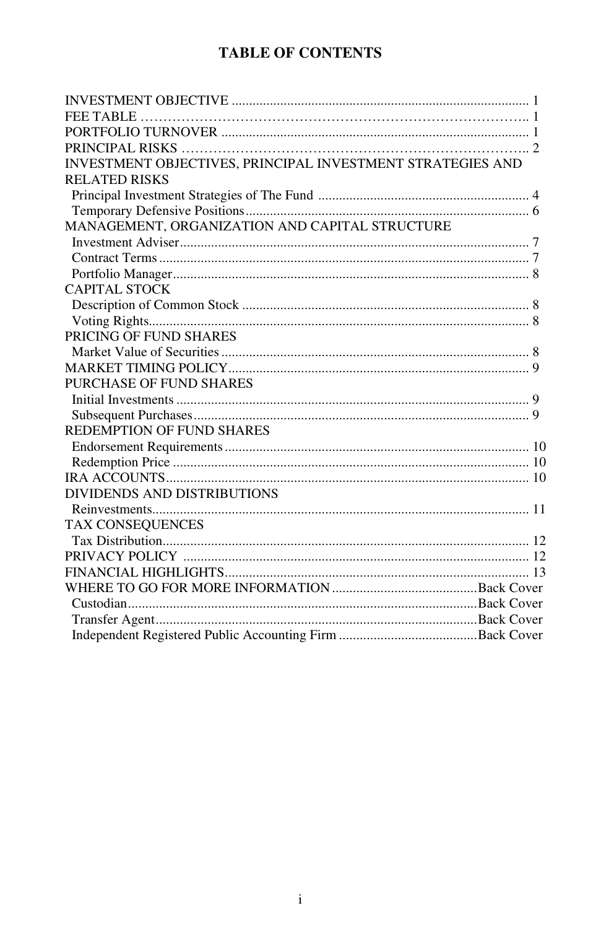# **TABLE OF CONTENTS**

| INVESTMENT OBJECTIVES, PRINCIPAL INVESTMENT STRATEGIES AND |  |
|------------------------------------------------------------|--|
| <b>RELATED RISKS</b>                                       |  |
|                                                            |  |
|                                                            |  |
| MANAGEMENT, ORGANIZATION AND CAPITAL STRUCTURE             |  |
|                                                            |  |
|                                                            |  |
|                                                            |  |
| CAPITAL STOCK                                              |  |
|                                                            |  |
|                                                            |  |
| PRICING OF FUND SHARES                                     |  |
|                                                            |  |
|                                                            |  |
| PURCHASE OF FUND SHARES                                    |  |
|                                                            |  |
|                                                            |  |
| REDEMPTION OF FUND SHARES                                  |  |
|                                                            |  |
|                                                            |  |
|                                                            |  |
| DIVIDENDS AND DISTRIBUTIONS                                |  |
|                                                            |  |
| <b>TAX CONSEQUENCES</b>                                    |  |
|                                                            |  |
|                                                            |  |
|                                                            |  |
|                                                            |  |
|                                                            |  |
|                                                            |  |
|                                                            |  |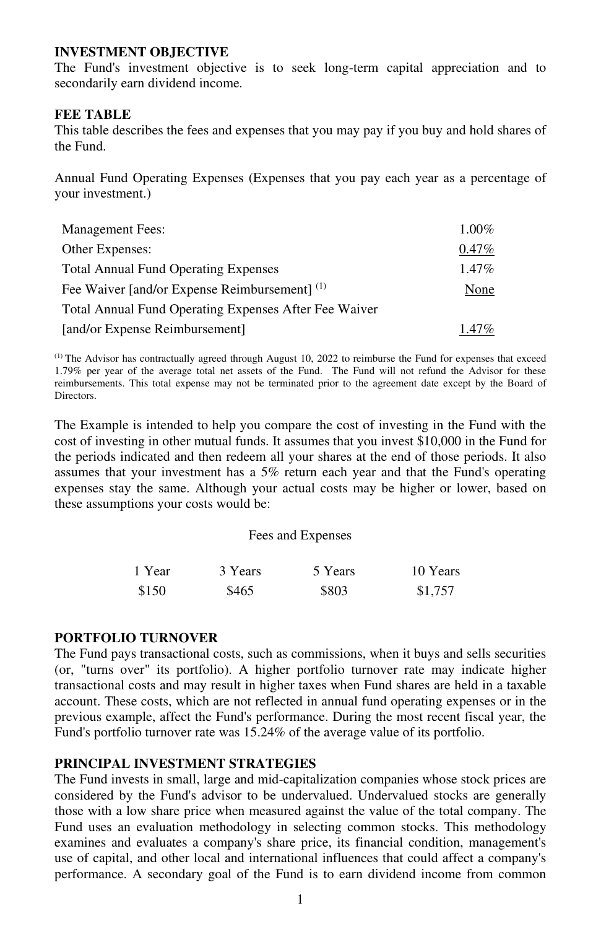#### **INVESTMENT OBJECTIVE**

The Fund's investment objective is to seek long-term capital appreciation and to secondarily earn dividend income.

#### **FEE TABLE**

This table describes the fees and expenses that you may pay if you buy and hold shares of the Fund.

Annual Fund Operating Expenses (Expenses that you pay each year as a percentage of your investment.)

| <b>Management Fees:</b>                               | $1.00\%$ |
|-------------------------------------------------------|----------|
| Other Expenses:                                       | $0.47\%$ |
| <b>Total Annual Fund Operating Expenses</b>           | $1.47\%$ |
| Fee Waiver [and/or Expense Reimbursement] (1)         | None     |
| Total Annual Fund Operating Expenses After Fee Waiver |          |
| [and/or Expense Reimbursement]                        | $1.47\%$ |

(1) The Advisor has contractually agreed through August 10, 2022 to reimburse the Fund for expenses that exceed 1.79% per year of the average total net assets of the Fund. The Fund will not refund the Advisor for these reimbursements. This total expense may not be terminated prior to the agreement date except by the Board of **Directors** 

The Example is intended to help you compare the cost of investing in the Fund with the cost of investing in other mutual funds. It assumes that you invest \$10,000 in the Fund for the periods indicated and then redeem all your shares at the end of those periods. It also assumes that your investment has a 5% return each year and that the Fund's operating expenses stay the same. Although your actual costs may be higher or lower, based on these assumptions your costs would be:

#### Fees and Expenses

| 1 Year | 3 Years | 5 Years | 10 Years |
|--------|---------|---------|----------|
| \$150  | \$465   | \$803   | \$1,757  |

#### **PORTFOLIO TURNOVER**

The Fund pays transactional costs, such as commissions, when it buys and sells securities (or, "turns over" its portfolio). A higher portfolio turnover rate may indicate higher transactional costs and may result in higher taxes when Fund shares are held in a taxable account. These costs, which are not reflected in annual fund operating expenses or in the previous example, affect the Fund's performance. During the most recent fiscal year, the Fund's portfolio turnover rate was 15.24% of the average value of its portfolio.

### **PRINCIPAL INVESTMENT STRATEGIES**

The Fund invests in small, large and mid-capitalization companies whose stock prices are considered by the Fund's advisor to be undervalued. Undervalued stocks are generally those with a low share price when measured against the value of the total company. The Fund uses an evaluation methodology in selecting common stocks. This methodology examines and evaluates a company's share price, its financial condition, management's use of capital, and other local and international influences that could affect a company's performance. A secondary goal of the Fund is to earn dividend income from common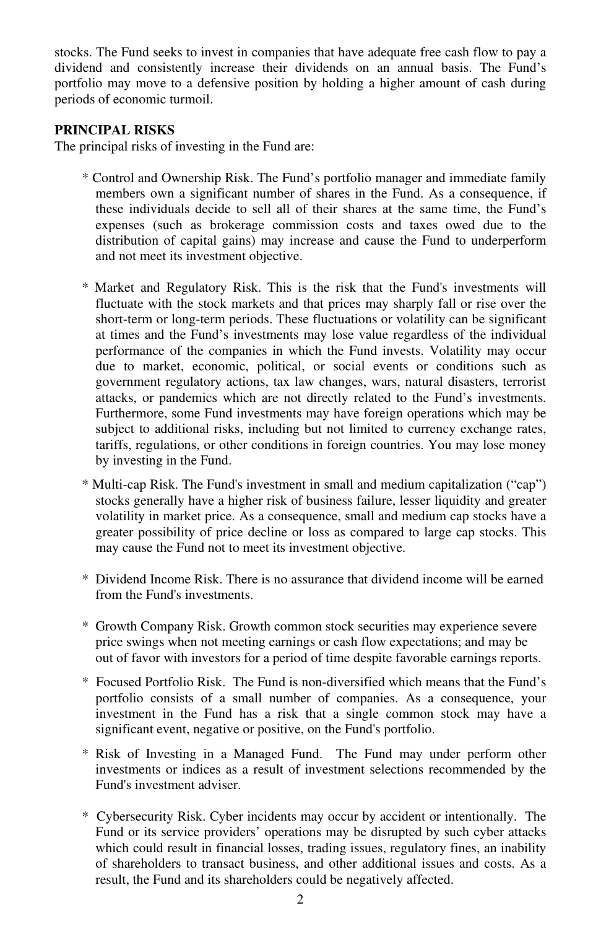stocks. The Fund seeks to invest in companies that have adequate free cash flow to pay a dividend and consistently increase their dividends on an annual basis. The Fund's portfolio may move to a defensive position by holding a higher amount of cash during periods of economic turmoil.

#### **PRINCIPAL RISKS**

The principal risks of investing in the Fund are:

- \* Control and Ownership Risk. The Fund's portfolio manager and immediate family members own a significant number of shares in the Fund. As a consequence, if these individuals decide to sell all of their shares at the same time, the Fund's expenses (such as brokerage commission costs and taxes owed due to the distribution of capital gains) may increase and cause the Fund to underperform and not meet its investment objective.
- \* Market and Regulatory Risk. This is the risk that the Fund's investments will fluctuate with the stock markets and that prices may sharply fall or rise over the short-term or long-term periods. These fluctuations or volatility can be significant at times and the Fund's investments may lose value regardless of the individual performance of the companies in which the Fund invests. Volatility may occur due to market, economic, political, or social events or conditions such as government regulatory actions, tax law changes, wars, natural disasters, terrorist attacks, or pandemics which are not directly related to the Fund's investments. Furthermore, some Fund investments may have foreign operations which may be subject to additional risks, including but not limited to currency exchange rates, tariffs, regulations, or other conditions in foreign countries. You may lose money by investing in the Fund.
- \* Multi-cap Risk. The Fund's investment in small and medium capitalization ("cap") stocks generally have a higher risk of business failure, lesser liquidity and greater volatility in market price. As a consequence, small and medium cap stocks have a greater possibility of price decline or loss as compared to large cap stocks. This may cause the Fund not to meet its investment objective.
- \* Dividend Income Risk. There is no assurance that dividend income will be earned from the Fund's investments.
- \* Growth Company Risk. Growth common stock securities may experience severe price swings when not meeting earnings or cash flow expectations; and may be out of favor with investors for a period of time despite favorable earnings reports.
- \* Focused Portfolio Risk. The Fund is non-diversified which means that the Fund's portfolio consists of a small number of companies. As a consequence, your investment in the Fund has a risk that a single common stock may have a significant event, negative or positive, on the Fund's portfolio.
- \* Risk of Investing in a Managed Fund. The Fund may under perform other investments or indices as a result of investment selections recommended by the Fund's investment adviser.
- \* Cybersecurity Risk. Cyber incidents may occur by accident or intentionally. The Fund or its service providers' operations may be disrupted by such cyber attacks which could result in financial losses, trading issues, regulatory fines, an inability of shareholders to transact business, and other additional issues and costs. As a result, the Fund and its shareholders could be negatively affected.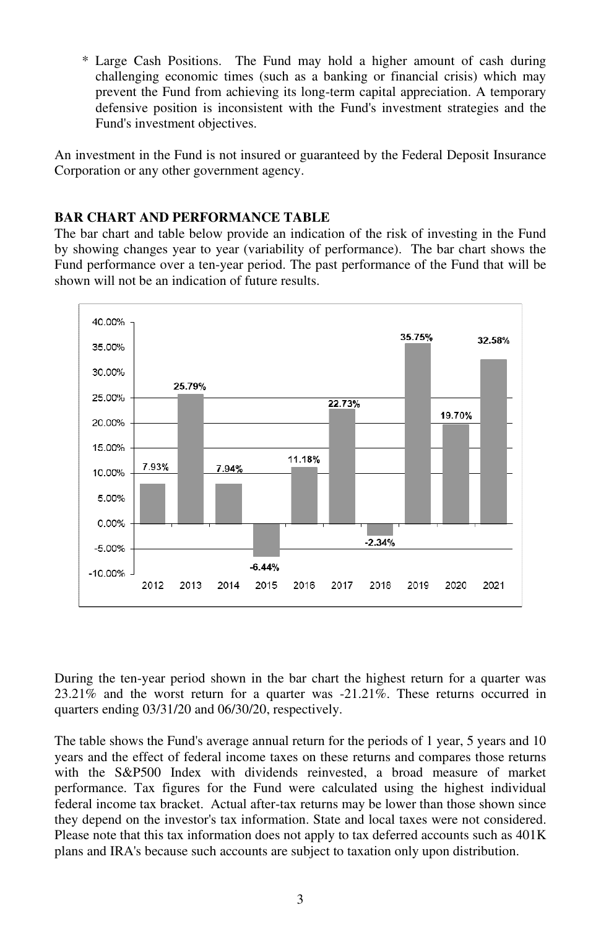\* Large Cash Positions. The Fund may hold a higher amount of cash during challenging economic times (such as a banking or financial crisis) which may prevent the Fund from achieving its long-term capital appreciation. A temporary defensive position is inconsistent with the Fund's investment strategies and the Fund's investment objectives.

An investment in the Fund is not insured or guaranteed by the Federal Deposit Insurance Corporation or any other government agency.

#### **BAR CHART AND PERFORMANCE TABLE**

The bar chart and table below provide an indication of the risk of investing in the Fund by showing changes year to year (variability of performance). The bar chart shows the Fund performance over a ten-year period. The past performance of the Fund that will be shown will not be an indication of future results.



During the ten-year period shown in the bar chart the highest return for a quarter was 23.21% and the worst return for a quarter was -21.21%. These returns occurred in quarters ending 03/31/20 and 06/30/20, respectively.

The table shows the Fund's average annual return for the periods of 1 year, 5 years and 10 years and the effect of federal income taxes on these returns and compares those returns with the S&P500 Index with dividends reinvested, a broad measure of market performance. Tax figures for the Fund were calculated using the highest individual federal income tax bracket. Actual after-tax returns may be lower than those shown since they depend on the investor's tax information. State and local taxes were not considered. Please note that this tax information does not apply to tax deferred accounts such as 401K plans and IRA's because such accounts are subject to taxation only upon distribution.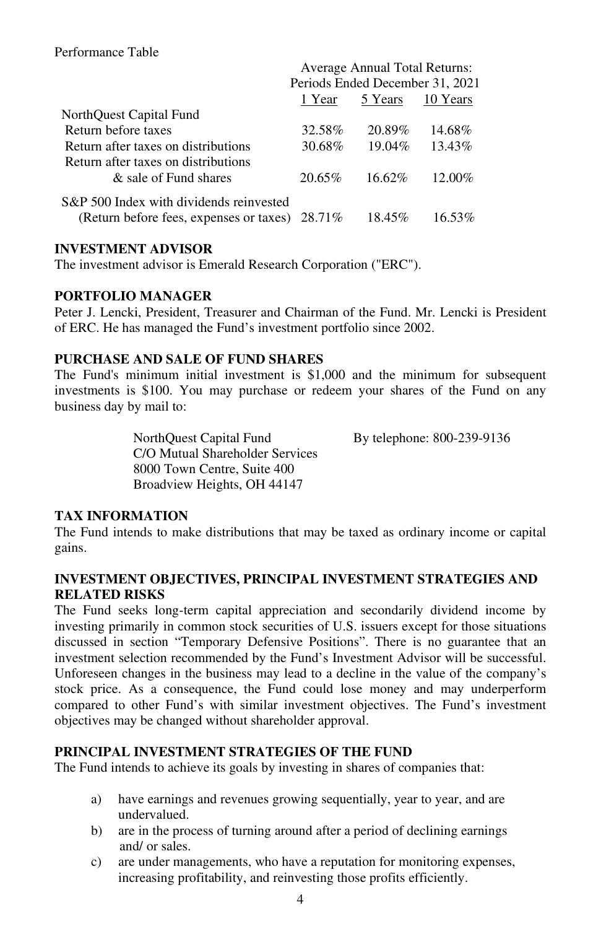|                                                   | Average Annual Total Returns:   |           |          |  |  |  |
|---------------------------------------------------|---------------------------------|-----------|----------|--|--|--|
|                                                   | Periods Ended December 31, 2021 |           |          |  |  |  |
|                                                   | 1 Year                          | 5 Years   | 10 Years |  |  |  |
| NorthQuest Capital Fund                           |                                 |           |          |  |  |  |
| Return before taxes                               | 32.58%                          | 20.89%    | 14.68%   |  |  |  |
| Return after taxes on distributions               | 30.68%                          | 19.04%    | 13.43%   |  |  |  |
| Return after taxes on distributions               |                                 |           |          |  |  |  |
| & sale of Fund shares                             | 20.65%                          | $16.62\%$ | 12.00%   |  |  |  |
| S&P 500 Index with dividends reinvested           |                                 |           |          |  |  |  |
| (Return before fees, expenses or taxes) $28.71\%$ |                                 | 18.45%    | 16.53%   |  |  |  |

# **INVESTMENT ADVISOR**

The investment advisor is Emerald Research Corporation ("ERC").

#### **PORTFOLIO MANAGER**

Peter J. Lencki, President, Treasurer and Chairman of the Fund. Mr. Lencki is President of ERC. He has managed the Fund's investment portfolio since 2002.

# **PURCHASE AND SALE OF FUND SHARES**

The Fund's minimum initial investment is \$1,000 and the minimum for subsequent investments is \$100. You may purchase or redeem your shares of the Fund on any business day by mail to:

> NorthQuest Capital Fund By telephone: 800-239-9136 C/O Mutual Shareholder Services 8000 Town Centre, Suite 400 Broadview Heights, OH 44147

# **TAX INFORMATION**

The Fund intends to make distributions that may be taxed as ordinary income or capital gains.

#### **INVESTMENT OBJECTIVES, PRINCIPAL INVESTMENT STRATEGIES AND RELATED RISKS**

The Fund seeks long-term capital appreciation and secondarily dividend income by investing primarily in common stock securities of U.S. issuers except for those situations discussed in section "Temporary Defensive Positions". There is no guarantee that an investment selection recommended by the Fund's Investment Advisor will be successful. Unforeseen changes in the business may lead to a decline in the value of the company's stock price. As a consequence, the Fund could lose money and may underperform compared to other Fund's with similar investment objectives. The Fund's investment objectives may be changed without shareholder approval.

# **PRINCIPAL INVESTMENT STRATEGIES OF THE FUND**

The Fund intends to achieve its goals by investing in shares of companies that:

- a) have earnings and revenues growing sequentially, year to year, and are undervalued.
- b) are in the process of turning around after a period of declining earnings and/ or sales.
- c) are under managements, who have a reputation for monitoring expenses, increasing profitability, and reinvesting those profits efficiently.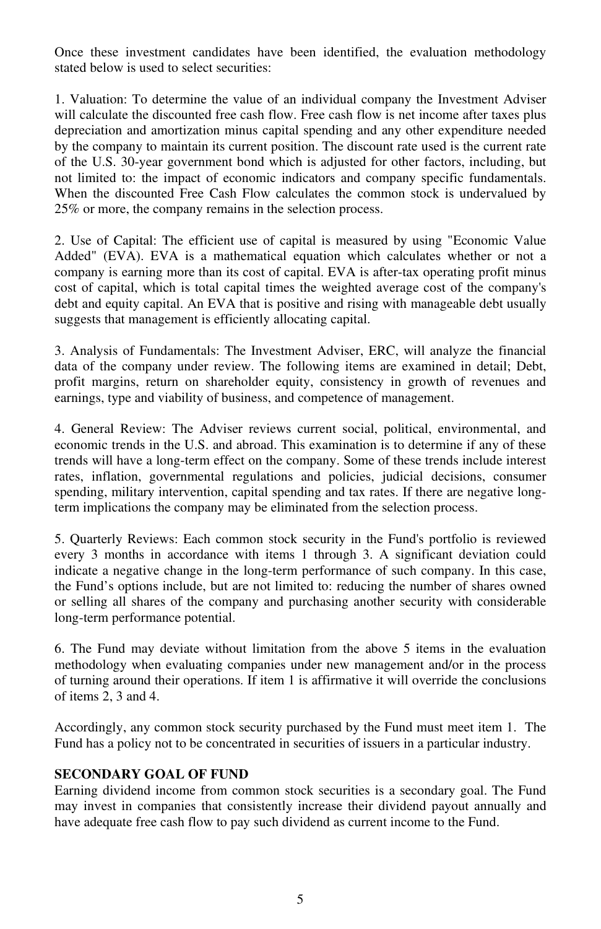Once these investment candidates have been identified, the evaluation methodology stated below is used to select securities:

1. Valuation: To determine the value of an individual company the Investment Adviser will calculate the discounted free cash flow. Free cash flow is net income after taxes plus depreciation and amortization minus capital spending and any other expenditure needed by the company to maintain its current position. The discount rate used is the current rate of the U.S. 30-year government bond which is adjusted for other factors, including, but not limited to: the impact of economic indicators and company specific fundamentals. When the discounted Free Cash Flow calculates the common stock is undervalued by 25% or more, the company remains in the selection process.

2. Use of Capital: The efficient use of capital is measured by using "Economic Value Added" (EVA). EVA is a mathematical equation which calculates whether or not a company is earning more than its cost of capital. EVA is after-tax operating profit minus cost of capital, which is total capital times the weighted average cost of the company's debt and equity capital. An EVA that is positive and rising with manageable debt usually suggests that management is efficiently allocating capital.

3. Analysis of Fundamentals: The Investment Adviser, ERC, will analyze the financial data of the company under review. The following items are examined in detail; Debt, profit margins, return on shareholder equity, consistency in growth of revenues and earnings, type and viability of business, and competence of management.

4. General Review: The Adviser reviews current social, political, environmental, and economic trends in the U.S. and abroad. This examination is to determine if any of these trends will have a long-term effect on the company. Some of these trends include interest rates, inflation, governmental regulations and policies, judicial decisions, consumer spending, military intervention, capital spending and tax rates. If there are negative longterm implications the company may be eliminated from the selection process.

5. Quarterly Reviews: Each common stock security in the Fund's portfolio is reviewed every 3 months in accordance with items 1 through 3. A significant deviation could indicate a negative change in the long-term performance of such company. In this case, the Fund's options include, but are not limited to: reducing the number of shares owned or selling all shares of the company and purchasing another security with considerable long-term performance potential.

6. The Fund may deviate without limitation from the above 5 items in the evaluation methodology when evaluating companies under new management and/or in the process of turning around their operations. If item 1 is affirmative it will override the conclusions of items 2, 3 and 4.

Accordingly, any common stock security purchased by the Fund must meet item 1. The Fund has a policy not to be concentrated in securities of issuers in a particular industry.

#### **SECONDARY GOAL OF FUND**

Earning dividend income from common stock securities is a secondary goal. The Fund may invest in companies that consistently increase their dividend payout annually and have adequate free cash flow to pay such dividend as current income to the Fund.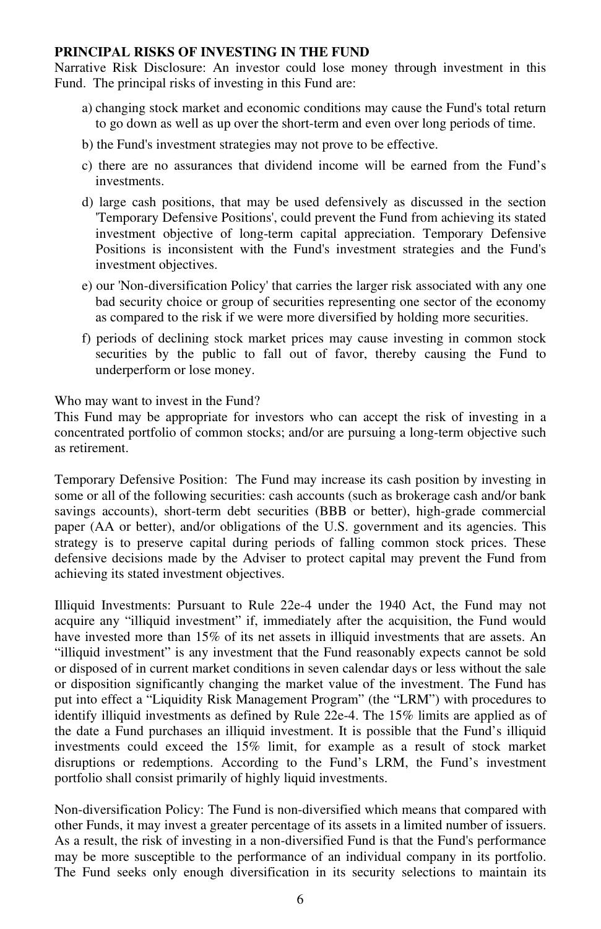#### **PRINCIPAL RISKS OF INVESTING IN THE FUND**

Narrative Risk Disclosure: An investor could lose money through investment in this Fund. The principal risks of investing in this Fund are:

- a) changing stock market and economic conditions may cause the Fund's total return to go down as well as up over the short-term and even over long periods of time.
- b) the Fund's investment strategies may not prove to be effective.
- c) there are no assurances that dividend income will be earned from the Fund's investments.
- d) large cash positions, that may be used defensively as discussed in the section 'Temporary Defensive Positions', could prevent the Fund from achieving its stated investment objective of long-term capital appreciation. Temporary Defensive Positions is inconsistent with the Fund's investment strategies and the Fund's investment objectives.
- e) our 'Non-diversification Policy' that carries the larger risk associated with any one bad security choice or group of securities representing one sector of the economy as compared to the risk if we were more diversified by holding more securities.
- f) periods of declining stock market prices may cause investing in common stock securities by the public to fall out of favor, thereby causing the Fund to underperform or lose money.

Who may want to invest in the Fund?

This Fund may be appropriate for investors who can accept the risk of investing in a concentrated portfolio of common stocks; and/or are pursuing a long-term objective such as retirement.

Temporary Defensive Position: The Fund may increase its cash position by investing in some or all of the following securities: cash accounts (such as brokerage cash and/or bank savings accounts), short-term debt securities (BBB or better), high-grade commercial paper (AA or better), and/or obligations of the U.S. government and its agencies. This strategy is to preserve capital during periods of falling common stock prices. These defensive decisions made by the Adviser to protect capital may prevent the Fund from achieving its stated investment objectives.

Illiquid Investments: Pursuant to Rule 22e-4 under the 1940 Act, the Fund may not acquire any "illiquid investment" if, immediately after the acquisition, the Fund would have invested more than 15% of its net assets in illiquid investments that are assets. An "illiquid investment" is any investment that the Fund reasonably expects cannot be sold or disposed of in current market conditions in seven calendar days or less without the sale or disposition significantly changing the market value of the investment. The Fund has put into effect a "Liquidity Risk Management Program" (the "LRM") with procedures to identify illiquid investments as defined by Rule 22e-4. The 15% limits are applied as of the date a Fund purchases an illiquid investment. It is possible that the Fund's illiquid investments could exceed the 15% limit, for example as a result of stock market disruptions or redemptions. According to the Fund's LRM, the Fund's investment portfolio shall consist primarily of highly liquid investments.

Non-diversification Policy: The Fund is non-diversified which means that compared with other Funds, it may invest a greater percentage of its assets in a limited number of issuers. As a result, the risk of investing in a non-diversified Fund is that the Fund's performance may be more susceptible to the performance of an individual company in its portfolio. The Fund seeks only enough diversification in its security selections to maintain its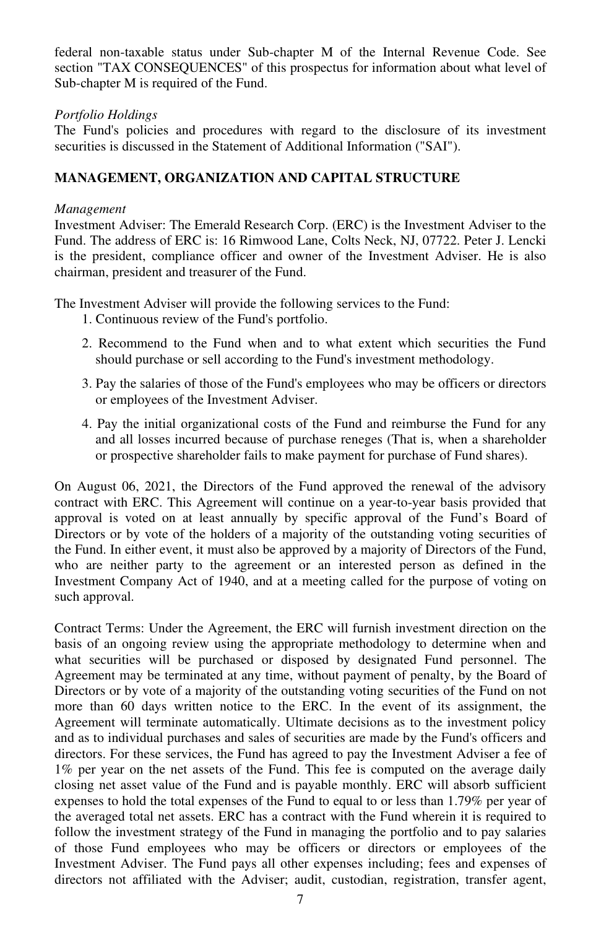federal non-taxable status under Sub-chapter M of the Internal Revenue Code. See section "TAX CONSEQUENCES" of this prospectus for information about what level of Sub-chapter M is required of the Fund.

#### *Portfolio Holdings*

The Fund's policies and procedures with regard to the disclosure of its investment securities is discussed in the Statement of Additional Information ("SAI").

# **MANAGEMENT, ORGANIZATION AND CAPITAL STRUCTURE**

#### *Management*

Investment Adviser: The Emerald Research Corp. (ERC) is the Investment Adviser to the Fund. The address of ERC is: 16 Rimwood Lane, Colts Neck, NJ, 07722. Peter J. Lencki is the president, compliance officer and owner of the Investment Adviser. He is also chairman, president and treasurer of the Fund.

The Investment Adviser will provide the following services to the Fund:

- 1. Continuous review of the Fund's portfolio.
- 2. Recommend to the Fund when and to what extent which securities the Fund should purchase or sell according to the Fund's investment methodology.
- 3. Pay the salaries of those of the Fund's employees who may be officers or directors or employees of the Investment Adviser.
- 4. Pay the initial organizational costs of the Fund and reimburse the Fund for any and all losses incurred because of purchase reneges (That is, when a shareholder or prospective shareholder fails to make payment for purchase of Fund shares).

On August 06, 2021, the Directors of the Fund approved the renewal of the advisory contract with ERC. This Agreement will continue on a year-to-year basis provided that approval is voted on at least annually by specific approval of the Fund's Board of Directors or by vote of the holders of a majority of the outstanding voting securities of the Fund. In either event, it must also be approved by a majority of Directors of the Fund, who are neither party to the agreement or an interested person as defined in the Investment Company Act of 1940, and at a meeting called for the purpose of voting on such approval.

Contract Terms: Under the Agreement, the ERC will furnish investment direction on the basis of an ongoing review using the appropriate methodology to determine when and what securities will be purchased or disposed by designated Fund personnel. The Agreement may be terminated at any time, without payment of penalty, by the Board of Directors or by vote of a majority of the outstanding voting securities of the Fund on not more than 60 days written notice to the ERC. In the event of its assignment, the Agreement will terminate automatically. Ultimate decisions as to the investment policy and as to individual purchases and sales of securities are made by the Fund's officers and directors. For these services, the Fund has agreed to pay the Investment Adviser a fee of 1% per year on the net assets of the Fund. This fee is computed on the average daily closing net asset value of the Fund and is payable monthly. ERC will absorb sufficient expenses to hold the total expenses of the Fund to equal to or less than 1.79% per year of the averaged total net assets. ERC has a contract with the Fund wherein it is required to follow the investment strategy of the Fund in managing the portfolio and to pay salaries of those Fund employees who may be officers or directors or employees of the Investment Adviser. The Fund pays all other expenses including; fees and expenses of directors not affiliated with the Adviser; audit, custodian, registration, transfer agent,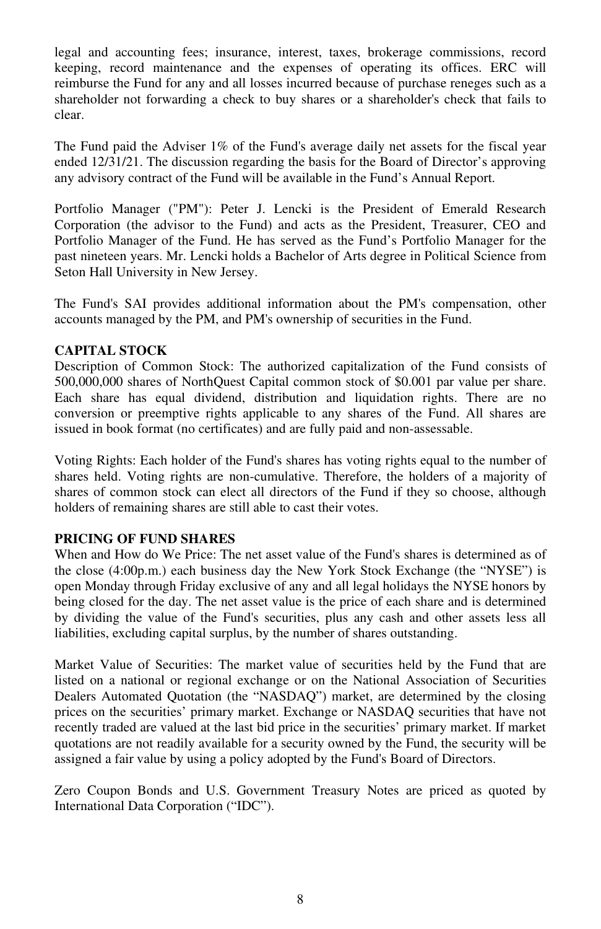legal and accounting fees; insurance, interest, taxes, brokerage commissions, record keeping, record maintenance and the expenses of operating its offices. ERC will reimburse the Fund for any and all losses incurred because of purchase reneges such as a shareholder not forwarding a check to buy shares or a shareholder's check that fails to clear.

The Fund paid the Adviser  $1\%$  of the Fund's average daily net assets for the fiscal year ended 12/31/21. The discussion regarding the basis for the Board of Director's approving any advisory contract of the Fund will be available in the Fund's Annual Report.

Portfolio Manager ("PM"): Peter J. Lencki is the President of Emerald Research Corporation (the advisor to the Fund) and acts as the President, Treasurer, CEO and Portfolio Manager of the Fund. He has served as the Fund's Portfolio Manager for the past nineteen years. Mr. Lencki holds a Bachelor of Arts degree in Political Science from Seton Hall University in New Jersey.

The Fund's SAI provides additional information about the PM's compensation, other accounts managed by the PM, and PM's ownership of securities in the Fund.

#### **CAPITAL STOCK**

Description of Common Stock: The authorized capitalization of the Fund consists of 500,000,000 shares of NorthQuest Capital common stock of \$0.001 par value per share. Each share has equal dividend, distribution and liquidation rights. There are no conversion or preemptive rights applicable to any shares of the Fund. All shares are issued in book format (no certificates) and are fully paid and non-assessable.

Voting Rights: Each holder of the Fund's shares has voting rights equal to the number of shares held. Voting rights are non-cumulative. Therefore, the holders of a majority of shares of common stock can elect all directors of the Fund if they so choose, although holders of remaining shares are still able to cast their votes.

#### **PRICING OF FUND SHARES**

When and How do We Price: The net asset value of the Fund's shares is determined as of the close (4:00p.m.) each business day the New York Stock Exchange (the "NYSE") is open Monday through Friday exclusive of any and all legal holidays the NYSE honors by being closed for the day. The net asset value is the price of each share and is determined by dividing the value of the Fund's securities, plus any cash and other assets less all liabilities, excluding capital surplus, by the number of shares outstanding.

Market Value of Securities: The market value of securities held by the Fund that are listed on a national or regional exchange or on the National Association of Securities Dealers Automated Quotation (the "NASDAQ") market, are determined by the closing prices on the securities' primary market. Exchange or NASDAQ securities that have not recently traded are valued at the last bid price in the securities' primary market. If market quotations are not readily available for a security owned by the Fund, the security will be assigned a fair value by using a policy adopted by the Fund's Board of Directors.

Zero Coupon Bonds and U.S. Government Treasury Notes are priced as quoted by International Data Corporation ("IDC").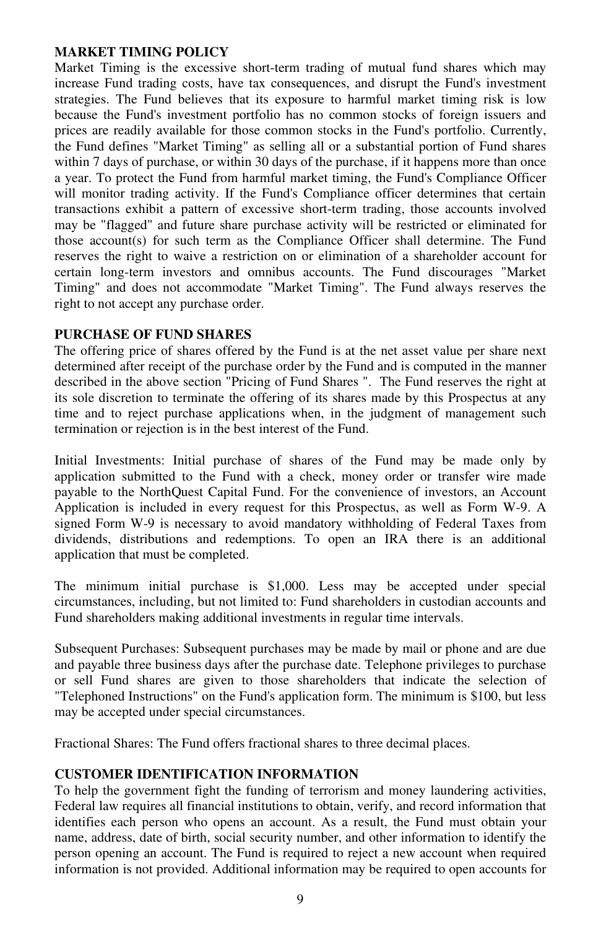#### **MARKET TIMING POLICY**

Market Timing is the excessive short-term trading of mutual fund shares which may increase Fund trading costs, have tax consequences, and disrupt the Fund's investment strategies. The Fund believes that its exposure to harmful market timing risk is low because the Fund's investment portfolio has no common stocks of foreign issuers and prices are readily available for those common stocks in the Fund's portfolio. Currently, the Fund defines "Market Timing" as selling all or a substantial portion of Fund shares within 7 days of purchase, or within 30 days of the purchase, if it happens more than once a year. To protect the Fund from harmful market timing, the Fund's Compliance Officer will monitor trading activity. If the Fund's Compliance officer determines that certain transactions exhibit a pattern of excessive short-term trading, those accounts involved may be "flagged" and future share purchase activity will be restricted or eliminated for those account(s) for such term as the Compliance Officer shall determine. The Fund reserves the right to waive a restriction on or elimination of a shareholder account for certain long-term investors and omnibus accounts. The Fund discourages "Market Timing" and does not accommodate "Market Timing". The Fund always reserves the right to not accept any purchase order.

#### **PURCHASE OF FUND SHARES**

The offering price of shares offered by the Fund is at the net asset value per share next determined after receipt of the purchase order by the Fund and is computed in the manner described in the above section "Pricing of Fund Shares ". The Fund reserves the right at its sole discretion to terminate the offering of its shares made by this Prospectus at any time and to reject purchase applications when, in the judgment of management such termination or rejection is in the best interest of the Fund.

Initial Investments: Initial purchase of shares of the Fund may be made only by application submitted to the Fund with a check, money order or transfer wire made payable to the NorthQuest Capital Fund. For the convenience of investors, an Account Application is included in every request for this Prospectus, as well as Form W-9. A signed Form W-9 is necessary to avoid mandatory withholding of Federal Taxes from dividends, distributions and redemptions. To open an IRA there is an additional application that must be completed.

The minimum initial purchase is \$1,000. Less may be accepted under special circumstances, including, but not limited to: Fund shareholders in custodian accounts and Fund shareholders making additional investments in regular time intervals.

Subsequent Purchases: Subsequent purchases may be made by mail or phone and are due and payable three business days after the purchase date. Telephone privileges to purchase or sell Fund shares are given to those shareholders that indicate the selection of "Telephoned Instructions" on the Fund's application form. The minimum is \$100, but less may be accepted under special circumstances.

Fractional Shares: The Fund offers fractional shares to three decimal places.

# **CUSTOMER IDENTIFICATION INFORMATION**

To help the government fight the funding of terrorism and money laundering activities, Federal law requires all financial institutions to obtain, verify, and record information that identifies each person who opens an account. As a result, the Fund must obtain your name, address, date of birth, social security number, and other information to identify the person opening an account. The Fund is required to reject a new account when required information is not provided. Additional information may be required to open accounts for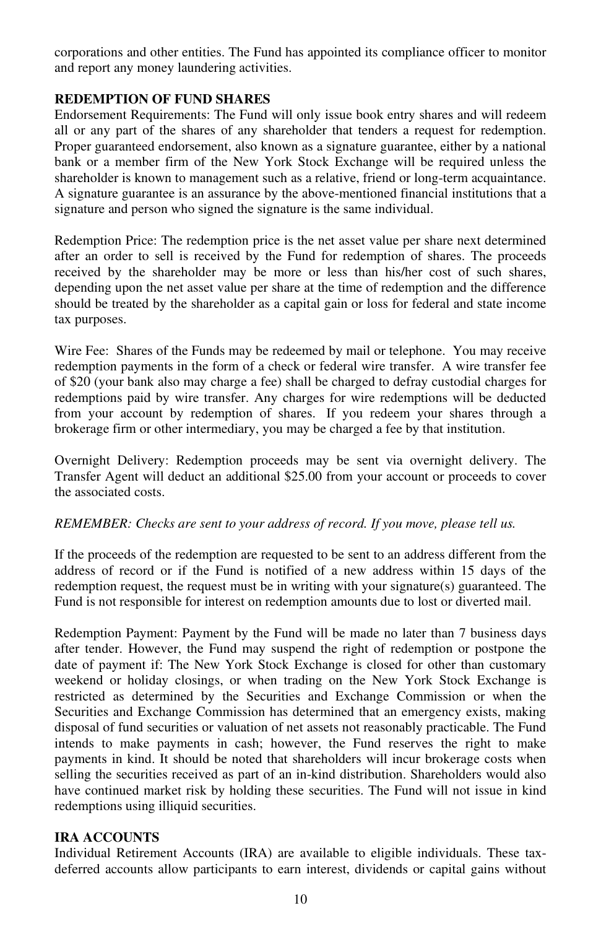corporations and other entities. The Fund has appointed its compliance officer to monitor and report any money laundering activities.

#### **REDEMPTION OF FUND SHARES**

Endorsement Requirements: The Fund will only issue book entry shares and will redeem all or any part of the shares of any shareholder that tenders a request for redemption. Proper guaranteed endorsement, also known as a signature guarantee, either by a national bank or a member firm of the New York Stock Exchange will be required unless the shareholder is known to management such as a relative, friend or long-term acquaintance. A signature guarantee is an assurance by the above-mentioned financial institutions that a signature and person who signed the signature is the same individual.

Redemption Price: The redemption price is the net asset value per share next determined after an order to sell is received by the Fund for redemption of shares. The proceeds received by the shareholder may be more or less than his/her cost of such shares, depending upon the net asset value per share at the time of redemption and the difference should be treated by the shareholder as a capital gain or loss for federal and state income tax purposes.

Wire Fee: Shares of the Funds may be redeemed by mail or telephone. You may receive redemption payments in the form of a check or federal wire transfer. A wire transfer fee of \$20 (your bank also may charge a fee) shall be charged to defray custodial charges for redemptions paid by wire transfer. Any charges for wire redemptions will be deducted from your account by redemption of shares. If you redeem your shares through a brokerage firm or other intermediary, you may be charged a fee by that institution.

Overnight Delivery: Redemption proceeds may be sent via overnight delivery. The Transfer Agent will deduct an additional \$25.00 from your account or proceeds to cover the associated costs.

#### *REMEMBER: Checks are sent to your address of record. If you move, please tell us.*

If the proceeds of the redemption are requested to be sent to an address different from the address of record or if the Fund is notified of a new address within 15 days of the redemption request, the request must be in writing with your signature(s) guaranteed. The Fund is not responsible for interest on redemption amounts due to lost or diverted mail.

Redemption Payment: Payment by the Fund will be made no later than 7 business days after tender. However, the Fund may suspend the right of redemption or postpone the date of payment if: The New York Stock Exchange is closed for other than customary weekend or holiday closings, or when trading on the New York Stock Exchange is restricted as determined by the Securities and Exchange Commission or when the Securities and Exchange Commission has determined that an emergency exists, making disposal of fund securities or valuation of net assets not reasonably practicable. The Fund intends to make payments in cash; however, the Fund reserves the right to make payments in kind. It should be noted that shareholders will incur brokerage costs when selling the securities received as part of an in-kind distribution. Shareholders would also have continued market risk by holding these securities. The Fund will not issue in kind redemptions using illiquid securities.

#### **IRA ACCOUNTS**

Individual Retirement Accounts (IRA) are available to eligible individuals. These taxdeferred accounts allow participants to earn interest, dividends or capital gains without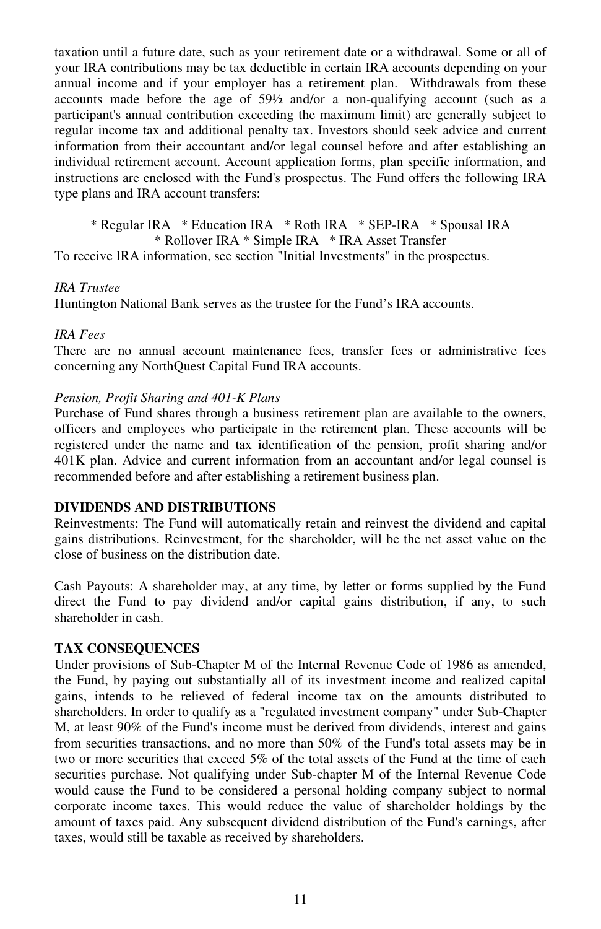taxation until a future date, such as your retirement date or a withdrawal. Some or all of your IRA contributions may be tax deductible in certain IRA accounts depending on your annual income and if your employer has a retirement plan. Withdrawals from these accounts made before the age of 59½ and/or a non-qualifying account (such as a participant's annual contribution exceeding the maximum limit) are generally subject to regular income tax and additional penalty tax. Investors should seek advice and current information from their accountant and/or legal counsel before and after establishing an individual retirement account. Account application forms, plan specific information, and instructions are enclosed with the Fund's prospectus. The Fund offers the following IRA type plans and IRA account transfers:

\* Regular IRA \* Education IRA \* Roth IRA \* SEP-IRA \* Spousal IRA \* Rollover IRA \* Simple IRA \* IRA Asset Transfer

To receive IRA information, see section "Initial Investments" in the prospectus.

#### *IRA Trustee*

Huntington National Bank serves as the trustee for the Fund's IRA accounts.

#### *IRA Fees*

There are no annual account maintenance fees, transfer fees or administrative fees concerning any NorthQuest Capital Fund IRA accounts.

#### *Pension, Profit Sharing and 401-K Plans*

Purchase of Fund shares through a business retirement plan are available to the owners, officers and employees who participate in the retirement plan. These accounts will be registered under the name and tax identification of the pension, profit sharing and/or 401K plan. Advice and current information from an accountant and/or legal counsel is recommended before and after establishing a retirement business plan.

### **DIVIDENDS AND DISTRIBUTIONS**

Reinvestments: The Fund will automatically retain and reinvest the dividend and capital gains distributions. Reinvestment, for the shareholder, will be the net asset value on the close of business on the distribution date.

Cash Payouts: A shareholder may, at any time, by letter or forms supplied by the Fund direct the Fund to pay dividend and/or capital gains distribution, if any, to such shareholder in cash.

#### **TAX CONSEQUENCES**

Under provisions of Sub-Chapter M of the Internal Revenue Code of 1986 as amended, the Fund, by paying out substantially all of its investment income and realized capital gains, intends to be relieved of federal income tax on the amounts distributed to shareholders. In order to qualify as a "regulated investment company" under Sub-Chapter M, at least 90% of the Fund's income must be derived from dividends, interest and gains from securities transactions, and no more than 50% of the Fund's total assets may be in two or more securities that exceed 5% of the total assets of the Fund at the time of each securities purchase. Not qualifying under Sub-chapter M of the Internal Revenue Code would cause the Fund to be considered a personal holding company subject to normal corporate income taxes. This would reduce the value of shareholder holdings by the amount of taxes paid. Any subsequent dividend distribution of the Fund's earnings, after taxes, would still be taxable as received by shareholders.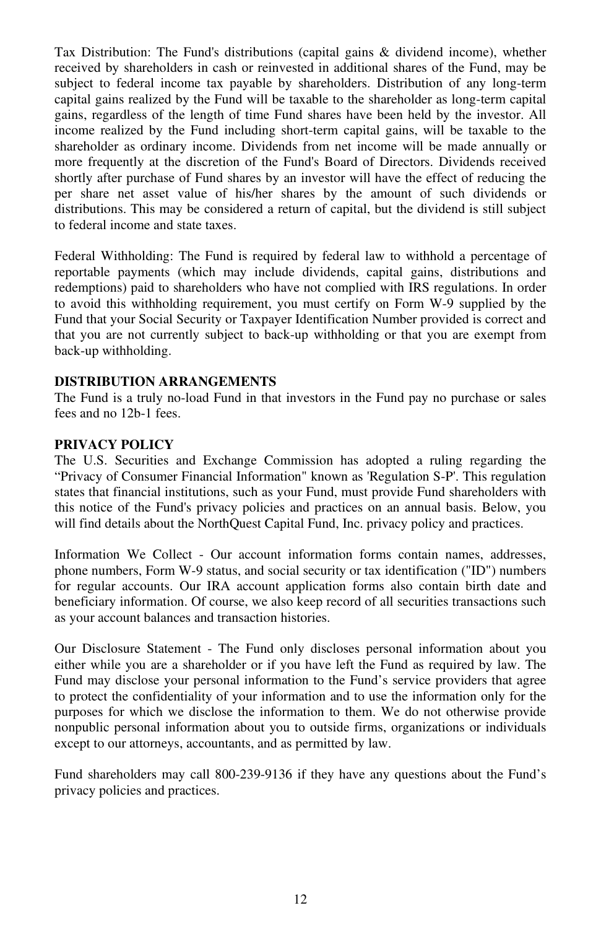Tax Distribution: The Fund's distributions (capital gains & dividend income), whether received by shareholders in cash or reinvested in additional shares of the Fund, may be subject to federal income tax payable by shareholders. Distribution of any long-term capital gains realized by the Fund will be taxable to the shareholder as long-term capital gains, regardless of the length of time Fund shares have been held by the investor. All income realized by the Fund including short-term capital gains, will be taxable to the shareholder as ordinary income. Dividends from net income will be made annually or more frequently at the discretion of the Fund's Board of Directors. Dividends received shortly after purchase of Fund shares by an investor will have the effect of reducing the per share net asset value of his/her shares by the amount of such dividends or distributions. This may be considered a return of capital, but the dividend is still subject to federal income and state taxes.

Federal Withholding: The Fund is required by federal law to withhold a percentage of reportable payments (which may include dividends, capital gains, distributions and redemptions) paid to shareholders who have not complied with IRS regulations. In order to avoid this withholding requirement, you must certify on Form W-9 supplied by the Fund that your Social Security or Taxpayer Identification Number provided is correct and that you are not currently subject to back-up withholding or that you are exempt from back-up withholding.

#### **DISTRIBUTION ARRANGEMENTS**

The Fund is a truly no-load Fund in that investors in the Fund pay no purchase or sales fees and no 12b-1 fees.

#### **PRIVACY POLICY**

The U.S. Securities and Exchange Commission has adopted a ruling regarding the "Privacy of Consumer Financial Information" known as 'Regulation S-P'. This regulation states that financial institutions, such as your Fund, must provide Fund shareholders with this notice of the Fund's privacy policies and practices on an annual basis. Below, you will find details about the NorthQuest Capital Fund, Inc. privacy policy and practices.

Information We Collect - Our account information forms contain names, addresses, phone numbers, Form W-9 status, and social security or tax identification ("ID") numbers for regular accounts. Our IRA account application forms also contain birth date and beneficiary information. Of course, we also keep record of all securities transactions such as your account balances and transaction histories.

Our Disclosure Statement - The Fund only discloses personal information about you either while you are a shareholder or if you have left the Fund as required by law. The Fund may disclose your personal information to the Fund's service providers that agree to protect the confidentiality of your information and to use the information only for the purposes for which we disclose the information to them. We do not otherwise provide nonpublic personal information about you to outside firms, organizations or individuals except to our attorneys, accountants, and as permitted by law.

Fund shareholders may call 800-239-9136 if they have any questions about the Fund's privacy policies and practices.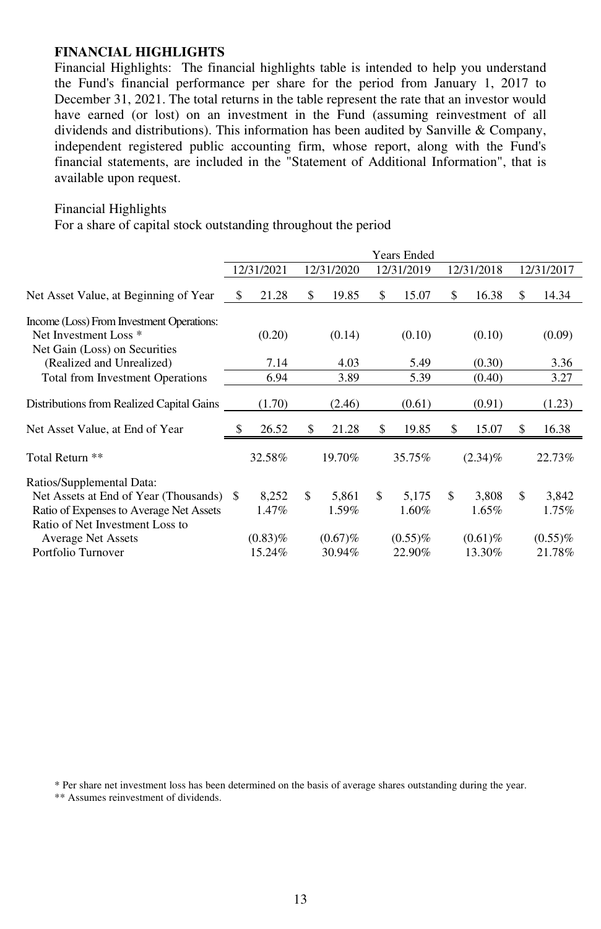#### **FINANCIAL HIGHLIGHTS**

Financial Highlights: The financial highlights table is intended to help you understand the Fund's financial performance per share for the period from January 1, 2017 to December 31, 2021. The total returns in the table represent the rate that an investor would have earned (or lost) on an investment in the Fund (assuming reinvestment of all dividends and distributions). This information has been audited by Sanville & Company, independent registered public accounting firm, whose report, along with the Fund's financial statements, are included in the "Statement of Additional Information", that is available upon request.

#### Financial Highlights

For a share of capital stock outstanding throughout the period

|                                                                                                                | <b>Years Ended</b> |            |            |         |            |            |            |            |            |            |
|----------------------------------------------------------------------------------------------------------------|--------------------|------------|------------|---------|------------|------------|------------|------------|------------|------------|
|                                                                                                                | 12/31/2021         |            | 12/31/2020 |         | 12/31/2019 |            | 12/31/2018 |            | 12/31/2017 |            |
| Net Asset Value, at Beginning of Year                                                                          | S                  | 21.28      | \$         | 19.85   | \$         | 15.07      | \$.        | 16.38      | \$         | 14.34      |
| Income (Loss) From Investment Operations:<br>Net Investment Loss <sup>*</sup><br>Net Gain (Loss) on Securities |                    | (0.20)     |            | (0.14)  |            | (0.10)     |            | (0.10)     |            | (0.09)     |
| (Realized and Unrealized)                                                                                      |                    | 7.14       |            | 4.03    |            | 5.49       |            | (0.30)     |            | 3.36       |
| Total from Investment Operations                                                                               |                    | 6.94       |            | 3.89    |            | 5.39       |            | (0.40)     |            | 3.27       |
| Distributions from Realized Capital Gains                                                                      |                    | (1.70)     |            | (2.46)  |            | (0.61)     |            | (0.91)     |            | (1.23)     |
| Net Asset Value, at End of Year                                                                                |                    | 26.52      | \$         | 21.28   | \$         | 19.85      | \$.        | 15.07      | \$         | 16.38      |
| Total Return **                                                                                                |                    | 32.58%     |            | 19.70%  |            | 35.75%     |            | $(2.34)\%$ |            | 22.73%     |
| Ratios/Supplemental Data:                                                                                      |                    |            |            |         |            |            |            |            |            |            |
| Net Assets at End of Year (Thousands) \$                                                                       |                    | 8,252      | \$         | 5,861   | \$         | 5,175      | \$         | 3,808      | \$         | 3,842      |
| Ratio of Expenses to Average Net Assets<br>Ratio of Net Investment Loss to                                     |                    | 1.47%      |            | 1.59%   |            | 1.60%      |            | 1.65%      |            | 1.75%      |
| <b>Average Net Assets</b>                                                                                      |                    | $(0.83)\%$ |            | (0.67)% |            | $(0.55)\%$ |            | $(0.61)\%$ |            | $(0.55)\%$ |
| Portfolio Turnover                                                                                             |                    | 15.24%     |            | 30.94%  |            | 22.90%     |            | 13.30%     |            | 21.78%     |

\* Per share net investment loss has been determined on the basis of average shares outstanding during the year.

\*\* Assumes reinvestment of dividends.